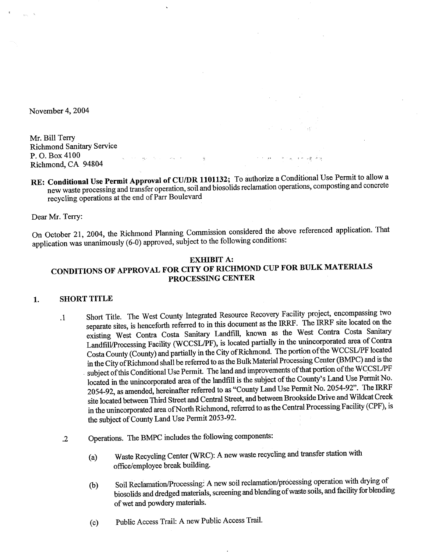November 4, 2004

Mr. Bill Terry **Richmond Sanitary Service** P.O. Box 4100  $\mathbf{w} = \left\{ \mathbf{v}^{(1)}, \cdots, \mathbf{v}^{(k-1)} \right\} \in \mathbb{R}^{k \times k} \times \mathbb{R}^{k \times k} \times \mathbb{R}^{k \times k} \times \mathbb{R}^{k \times k} \times \mathbb{R}^{k \times k} \times \mathbb{R}^{k \times k} \times \mathbb{R}^{k \times k}$ Richmond, CA 94804

RE: Conditional Use Permit Approval of CU/DR 1101132; To authorize a Conditional Use Permit to allow a new waste processing and transfer operation, soil and biosolids reclamation operations, composting and concrete recycling operations at the end of Parr Boulevard

Dear Mr. Terry:

On October 21, 2004, the Richmond Planning Commission considered the above referenced application. That application was unanimously (6-0) approved, subject to the following conditions:

## **EXHIBIT A:** CONDITIONS OF APPROVAL FOR CITY OF RICHMOND CUP FOR BULK MATERIALS PROCESSING CENTER

#### **SHORT TITLE** 1.

- Short Title. The West County Integrated Resource Recovery Facility project, encompassing two  $\cdot$ 1 separate sites, is henceforth referred to in this document as the IRRF. The IRRF site located on the existing West Contra Costa Sanitary Landfill, known as the West Contra Costa Sanitary Landfill/Processing Facility (WCCSL/PF), is located partially in the unincorporated area of Contra Costa County (County) and partially in the City of Richmond. The portion of the WCCSL/PF located in the City of Richmond shall be referred to as the Bulk Material Processing Center (BMPC) and is the subject of this Conditional Use Permit. The land and improvements of that portion of the WCCSL/PF located in the unincorporated area of the landfill is the subject of the County's Land Use Permit No. 2054-92, as amended, hereinafter referred to as "County Land Use Permit No. 2054-92". The IRRF site located between Third Street and Central Street, and between Brookside Drive and Wildcat Creek in the unincorporated area of North Richmond, referred to as the Central Processing Facility (CPF), is the subject of County Land Use Permit 2053-92.
- Operations. The BMPC includes the following components:  $\cdot$ 
	- Waste Recycling Center (WRC): A new waste recycling and transfer station with  $(a)$ office/employee break building.
	- Soil Reclamation/Processing: A new soil reclamation/processing operation with drying of  $(b)$ biosolids and dredged materials, screening and blending of waste soils, and facility for blending of wet and powdery materials.
	- Public Access Trail: A new Public Access Trail.  $(c)$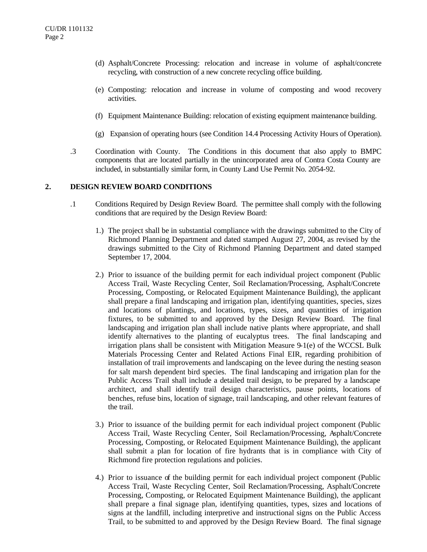- (d) Asphalt/Concrete Processing: relocation and increase in volume of asphalt/concrete recycling, with construction of a new concrete recycling office building.
- (e) Composting: relocation and increase in volume of composting and wood recovery activities.
- (f) Equipment Maintenance Building: relocation of existing equipment maintenance building.
- (g) Expansion of operating hours (see Condition 14.4 Processing Activity Hours of Operation).
- .3 Coordination with County. The Conditions in this document that also apply to BMPC components that are located partially in the unincorporated area of Contra Costa County are included, in substantially similar form, in County Land Use Permit No. 2054-92.

#### **2. DESIGN REVIEW BOARD CONDITIONS**

- .1 Conditions Required by Design Review Board. The permittee shall comply with the following conditions that are required by the Design Review Board:
	- 1.) The project shall be in substantial compliance with the drawings submitted to the City of Richmond Planning Department and dated stamped August 27, 2004, as revised by the drawings submitted to the City of Richmond Planning Department and dated stamped September 17, 2004.
	- 2.) Prior to issuance of the building permit for each individual project component (Public Access Trail, Waste Recycling Center, Soil Reclamation/Processing, Asphalt/Concrete Processing, Composting, or Relocated Equipment Maintenance Building), the applicant shall prepare a final landscaping and irrigation plan, identifying quantities, species, sizes and locations of plantings, and locations, types, sizes, and quantities of irrigation fixtures, to be submitted to and approved by the Design Review Board. The final landscaping and irrigation plan shall include native plants where appropriate, and shall identify alternatives to the planting of eucalyptus trees. The final landscaping and irrigation plans shall be consistent with Mitigation Measure 9-1(e) of the WCCSL Bulk Materials Processing Center and Related Actions Final EIR, regarding prohibition of installation of trail improvements and landscaping on the levee during the nesting season for salt marsh dependent bird species. The final landscaping and irrigation plan for the Public Access Trail shall include a detailed trail design, to be prepared by a landscape architect, and shall identify trail design characteristics, pause points, locations of benches, refuse bins, location of signage, trail landscaping, and other relevant features of the trail.
	- 3.) Prior to issuance of the building permit for each individual project component (Public Access Trail, Waste Recycling Center, Soil Reclamation/Processing, Asphalt/Concrete Processing, Composting, or Relocated Equipment Maintenance Building), the applicant shall submit a plan for location of fire hydrants that is in compliance with City of Richmond fire protection regulations and policies.
	- 4.) Prior to issuance of the building permit for each individual project component (Public Access Trail, Waste Recycling Center, Soil Reclamation/Processing, Asphalt/Concrete Processing, Composting, or Relocated Equipment Maintenance Building), the applicant shall prepare a final signage plan, identifying quantities, types, sizes and locations of signs at the landfill, including interpretive and instructional signs on the Public Access Trail, to be submitted to and approved by the Design Review Board. The final signage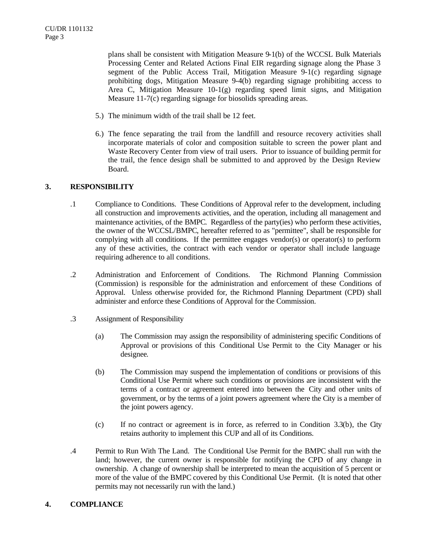plans shall be consistent with Mitigation Measure 9-1(b) of the WCCSL Bulk Materials Processing Center and Related Actions Final EIR regarding signage along the Phase 3 segment of the Public Access Trail, Mitigation Measure 9-1(c) regarding signage prohibiting dogs, Mitigation Measure 9-4(b) regarding signage prohibiting access to Area C, Mitigation Measure  $10-1(g)$  regarding speed limit signs, and Mitigation Measure 11-7(c) regarding signage for biosolids spreading areas.

- 5.) The minimum width of the trail shall be 12 feet.
- 6.) The fence separating the trail from the landfill and resource recovery activities shall incorporate materials of color and composition suitable to screen the power plant and Waste Recovery Center from view of trail users. Prior to issuance of building permit for the trail, the fence design shall be submitted to and approved by the Design Review Board.

# **3. RESPONSIBILITY**

- .1 Compliance to Conditions. These Conditions of Approval refer to the development, including all construction and improvements activities, and the operation, including all management and maintenance activities, of the BMPC. Regardless of the party(ies) who perform these activities, the owner of the WCCSL/BMPC, hereafter referred to as "permittee", shall be responsible for complying with all conditions. If the permittee engages vendor(s) or operator(s) to perform any of these activities, the contract with each vendor or operator shall include language requiring adherence to all conditions.
- .2 Administration and Enforcement of Conditions. The Richmond Planning Commission (Commission) is responsible for the administration and enforcement of these Conditions of Approval. Unless otherwise provided for, the Richmond Planning Department (CPD) shall administer and enforce these Conditions of Approval for the Commission.
- .3 Assignment of Responsibility
	- (a) The Commission may assign the responsibility of administering specific Conditions of Approval or provisions of this Conditional Use Permit to the City Manager or his designee.
	- (b) The Commission may suspend the implementation of conditions or provisions of this Conditional Use Permit where such conditions or provisions are inconsistent with the terms of a contract or agreement entered into between the City and other units of government, or by the terms of a joint powers agreement where the City is a member of the joint powers agency.
	- (c) If no contract or agreement is in force, as referred to in Condition 3.3(b), the City retains authority to implement this CUP and all of its Conditions.
- .4 Permit to Run With The Land. The Conditional Use Permit for the BMPC shall run with the land; however, the current owner is responsible for notifying the CPD of any change in ownership. A change of ownership shall be interpreted to mean the acquisition of 5 percent or more of the value of the BMPC covered by this Conditional Use Permit. (It is noted that other permits may not necessarily run with the land.)

# **4. COMPLIANCE**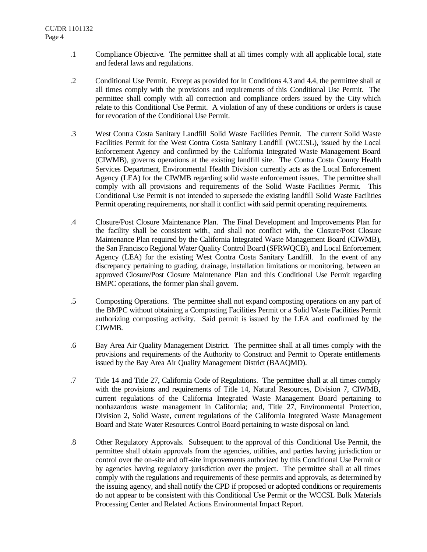- .1 Compliance Objective. The permittee shall at all times comply with all applicable local, state and federal laws and regulations.
- .2 Conditional Use Permit. Except as provided for in Conditions 4.3 and 4.4, the permittee shall at all times comply with the provisions and requirements of this Conditional Use Permit. The permittee shall comply with all correction and compliance orders issued by the City which relate to this Conditional Use Permit. A violation of any of these conditions or orders is cause for revocation of the Conditional Use Permit.
- .3 West Contra Costa Sanitary Landfill Solid Waste Facilities Permit. The current Solid Waste Facilities Permit for the West Contra Costa Sanitary Landfill (WCCSL), issued by the Local Enforcement Agency and confirmed by the California Integrated Waste Management Board (CIWMB), governs operations at the existing landfill site. The Contra Costa County Health Services Department, Environmental Health Division currently acts as the Local Enforcement Agency (LEA) for the CIWMB regarding solid waste enforcement issues. The permittee shall comply with all provisions and requirements of the Solid Waste Facilities Permit. This Conditional Use Permit is not intended to supersede the existing landfill Solid Waste Facilities Permit operating requirements, nor shall it conflict with said permit operating requirements.
- .4 Closure/Post Closure Maintenance Plan. The Final Development and Improvements Plan for the facility shall be consistent with, and shall not conflict with, the Closure/Post Closure Maintenance Plan required by the California Integrated Waste Management Board (CIWMB), the San Francisco Regional Water Quality Control Board (SFRWQCB), and Local Enforcement Agency (LEA) for the existing West Contra Costa Sanitary Landfill. In the event of any discrepancy pertaining to grading, drainage, installation limitations or monitoring, between an approved Closure/Post Closure Maintenance Plan and this Conditional Use Permit regarding BMPC operations, the former plan shall govern.
- .5 Composting Operations. The permittee shall not expand composting operations on any part of the BMPC without obtaining a Composting Facilities Permit or a Solid Waste Facilities Permit authorizing composting activity. Said permit is issued by the LEA and confirmed by the CIWMB.
- .6 Bay Area Air Quality Management District. The permittee shall at all times comply with the provisions and requirements of the Authority to Construct and Permit to Operate entitlements issued by the Bay Area Air Quality Management District (BAAQMD).
- .7 Title 14 and Title 27, California Code of Regulations. The permittee shall at all times comply with the provisions and requirements of Title 14, Natural Resources, Division 7, CIWMB, current regulations of the California Integrated Waste Management Board pertaining to nonhazardous waste management in California; and, Title 27, Environmental Protection, Division 2, Solid Waste, current regulations of the California Integrated Waste Management Board and State Water Resources Control Board pertaining to waste disposal on land.
- .8 Other Regulatory Approvals. Subsequent to the approval of this Conditional Use Permit, the permittee shall obtain approvals from the agencies, utilities, and parties having jurisdiction or control over the on-site and off-site improvements authorized by this Conditional Use Permit or by agencies having regulatory jurisdiction over the project. The permittee shall at all times comply with the regulations and requirements of these permits and approvals, as determined by the issuing agency, and shall notify the CPD if proposed or adopted conditions or requirements do not appear to be consistent with this Conditional Use Permit or the WCCSL Bulk Materials Processing Center and Related Actions Environmental Impact Report.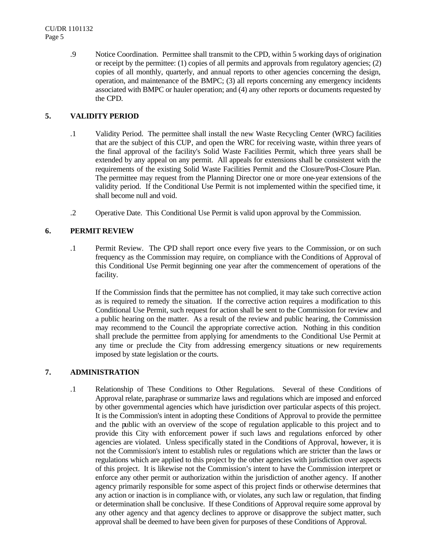.9 Notice Coordination. Permittee shall transmit to the CPD, within 5 working days of origination or receipt by the permittee: (1) copies of all permits and approvals from regulatory agencies; (2) copies of all monthly, quarterly, and annual reports to other agencies concerning the design, operation, and maintenance of the BMPC; (3) all reports concerning any emergency incidents associated with BMPC or hauler operation; and (4) any other reports or documents requested by the CPD.

## **5. VALIDITY PERIOD**

- .1 Validity Period. The permittee shall install the new Waste Recycling Center (WRC) facilities that are the subject of this CUP, and open the WRC for receiving waste, within three years of the final approval of the facility's Solid Waste Facilities Permit, which three years shall be extended by any appeal on any permit. All appeals for extensions shall be consistent with the requirements of the existing Solid Waste Facilities Permit and the Closure/Post-Closure Plan. The permittee may request from the Planning Director one or more one-year extensions of the validity period. If the Conditional Use Permit is not implemented within the specified time, it shall become null and void.
- .2 Operative Date. This Conditional Use Permit is valid upon approval by the Commission.

## **6. PERMIT REVIEW**

.1 Permit Review. The CPD shall report once every five years to the Commission, or on such frequency as the Commission may require, on compliance with the Conditions of Approval of this Conditional Use Permit beginning one year after the commencement of operations of the facility.

If the Commission finds that the permittee has not complied, it may take such corrective action as is required to remedy the situation. If the corrective action requires a modification to this Conditional Use Permit, such request for action shall be sent to the Commission for review and a public hearing on the matter. As a result of the review and public hearing, the Commission may recommend to the Council the appropriate corrective action. Nothing in this condition shall preclude the permittee from applying for amendments to the Conditional Use Permit at any time or preclude the City from addressing emergency situations or new requirements imposed by state legislation or the courts.

# **7. ADMINISTRATION**

.1 Relationship of These Conditions to Other Regulations. Several of these Conditions of Approval relate, paraphrase or summarize laws and regulations which are imposed and enforced by other governmental agencies which have jurisdiction over particular aspects of this project. It is the Commission's intent in adopting these Conditions of Approval to provide the permittee and the public with an overview of the scope of regulation applicable to this project and to provide this City with enforcement power if such laws and regulations enforced by other agencies are violated. Unless specifically stated in the Conditions of Approval, however, it is not the Commission's intent to establish rules or regulations which are stricter than the laws or regulations which are applied to this project by the other agencies with jurisdiction over aspects of this project. It is likewise not the Commission's intent to have the Commission interpret or enforce any other permit or authorization within the jurisdiction of another agency. If another agency primarily responsible for some aspect of this project finds or otherwise determines that any action or inaction is in compliance with, or violates, any such law or regulation, that finding or determination shall be conclusive. If these Conditions of Approval require some approval by any other agency and that agency declines to approve or disapprove the subject matter, such approval shall be deemed to have been given for purposes of these Conditions of Approval.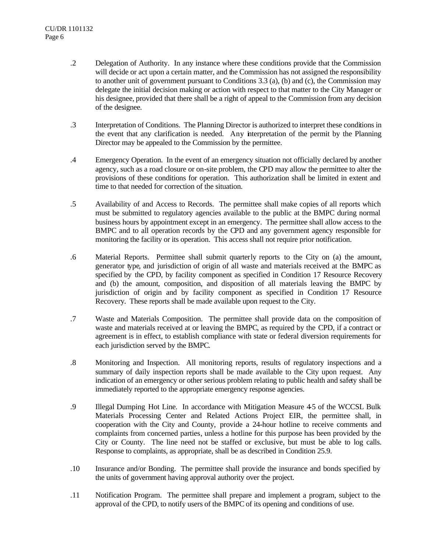- .2 Delegation of Authority. In any instance where these conditions provide that the Commission will decide or act upon a certain matter, and the Commission has not assigned the responsibility to another unit of government pursuant to Conditions 3.3 (a), (b) and (c), the Commission may delegate the initial decision making or action with respect to that matter to the City Manager or his designee, provided that there shall be a right of appeal to the Commission from any decision of the designee.
- .3 Interpretation of Conditions. The Planning Director is authorized to interpret these conditions in the event that any clarification is needed. Any interpretation of the permit by the Planning Director may be appealed to the Commission by the permittee.
- .4 Emergency Operation. In the event of an emergency situation not officially declared by another agency, such as a road closure or on-site problem, the CPD may allow the permittee to alter the provisions of these conditions for operation. This authorization shall be limited in extent and time to that needed for correction of the situation.
- .5 Availability of and Access to Records. The permittee shall make copies of all reports which must be submitted to regulatory agencies available to the public at the BMPC during normal business hours by appointment except in an emergency. The permittee shall allow access to the BMPC and to all operation records by the CPD and any government agency responsible for monitoring the facility or its operation. This access shall not require prior notification.
- .6 Material Reports. Permittee shall submit quarterly reports to the City on (a) the amount, generator type, and jurisdiction of origin of all waste and materials received at the BMPC as specified by the CPD, by facility component as specified in Condition 17 Resource Recovery and (b) the amount, composition, and disposition of all materials leaving the BMPC by jurisdiction of origin and by facility component as specified in Condition 17 Resource Recovery. These reports shall be made available upon request to the City.
- .7 Waste and Materials Composition. The permittee shall provide data on the composition of waste and materials received at or leaving the BMPC, as required by the CPD, if a contract or agreement is in effect, to establish compliance with state or federal diversion requirements for each jurisdiction served by the BMPC.
- .8 Monitoring and Inspection. All monitoring reports, results of regulatory inspections and a summary of daily inspection reports shall be made available to the City upon request. Any indication of an emergency or other serious problem relating to public health and safety shall be immediately reported to the appropriate emergency response agencies.
- .9 Illegal Dumping Hot Line. In accordance with Mitigation Measure 4-5 of the WCCSL Bulk Materials Processing Center and Related Actions Project EIR, the permittee shall, in cooperation with the City and County, provide a 24-hour hotline to receive comments and complaints from concerned parties, unless a hotline for this purpose has been provided by the City or County. The line need not be staffed or exclusive, but must be able to log calls. Response to complaints, as appropriate, shall be as described in Condition 25.9.
- .10 Insurance and/or Bonding. The permittee shall provide the insurance and bonds specified by the units of government having approval authority over the project.
- .11 Notification Program. The permittee shall prepare and implement a program, subject to the approval of the CPD, to notify users of the BMPC of its opening and conditions of use.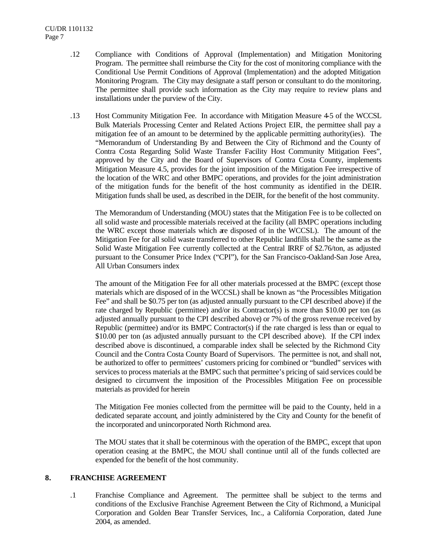- .12 Compliance with Conditions of Approval (Implementation) and Mitigation Monitoring Program. The permittee shall reimburse the City for the cost of monitoring compliance with the Conditional Use Permit Conditions of Approval (Implementation) and the adopted Mitigation Monitoring Program. The City may designate a staff person or consultant to do the monitoring. The permittee shall provide such information as the City may require to review plans and installations under the purview of the City.
- .13 Host Community Mitigation Fee. In accordance with Mitigation Measure 4-5 of the WCCSL Bulk Materials Processing Center and Related Actions Project EIR, the permittee shall pay a mitigation fee of an amount to be determined by the applicable permitting authority(ies). The "Memorandum of Understanding By and Between the City of Richmond and the County of Contra Costa Regarding Solid Waste Transfer Facility Host Community Mitigation Fees", approved by the City and the Board of Supervisors of Contra Costa County, implements Mitigation Measure 4.5, provides for the joint imposition of the Mitigation Fee irrespective of the location of the WRC and other BMPC operations, and provides for the joint administration of the mitigation funds for the benefit of the host community as identified in the DEIR. Mitigation funds shall be used, as described in the DEIR, for the benefit of the host community.

The Memorandum of Understanding (MOU) states that the Mitigation Fee is to be collected on all solid waste and processible materials received at the facility (all BMPC operations including the WRC except those materials which are disposed of in the WCCSL). The amount of the Mitigation Fee for all solid waste transferred to other Republic landfills shall be the same as the Solid Waste Mitigation Fee currently collected at the Central IRRF of \$2.76/ton, as adjusted pursuant to the Consumer Price Index ("CPI"), for the San Francisco-Oakland-San Jose Area, All Urban Consumers index

The amount of the Mitigation Fee for all other materials processed at the BMPC (except those materials which are disposed of in the WCCSL) shall be known as "the Processibles Mitigation Fee" and shall be \$0.75 per ton (as adjusted annually pursuant to the CPI described above) if the rate charged by Republic (permittee) and/or its Contractor(s) is more than \$10.00 per ton (as adjusted annually pursuant to the CPI described above) or 7% of the gross revenue received by Republic (permittee) and/or its BMPC Contractor(s) if the rate charged is less than or equal to \$10.00 per ton (as adjusted annually pursuant to the CPI described above). If the CPI index described above is discontinued, a comparable index shall be selected by the Richmond City Council and the Contra Costa County Board of Supervisors. The permittee is not, and shall not, be authorized to offer to permittees' customers pricing for combined or "bundled" services with services to process materials at the BMPC such that permittee's pricing of said services could be designed to circumvent the imposition of the Processibles Mitigation Fee on processible materials as provided for herein

The Mitigation Fee monies collected from the permittee will be paid to the County, held in a dedicated separate account, and jointly administered by the City and County for the benefit of the incorporated and unincorporated North Richmond area.

The MOU states that it shall be coterminous with the operation of the BMPC, except that upon operation ceasing at the BMPC, the MOU shall continue until all of the funds collected are expended for the benefit of the host community.

## **8. FRANCHISE AGREEMENT**

.1 Franchise Compliance and Agreement. The permittee shall be subject to the terms and conditions of the Exclusive Franchise Agreement Between the City of Richmond, a Municipal Corporation and Golden Bear Transfer Services, Inc., a California Corporation, dated June 2004, as amended.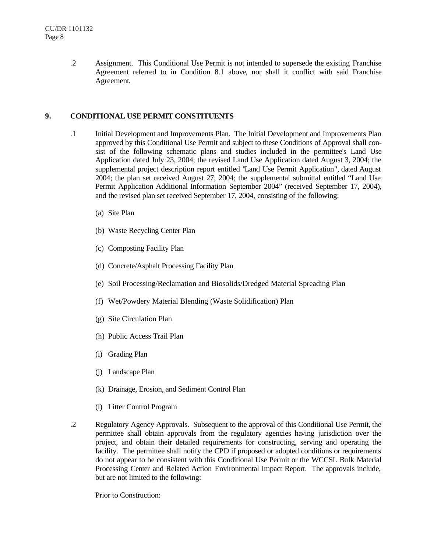.2 Assignment. This Conditional Use Permit is not intended to supersede the existing Franchise Agreement referred to in Condition 8.1 above, nor shall it conflict with said Franchise Agreement.

## **9. CONDITIONAL USE PERMIT CONSTITUENTS**

- .1 Initial Development and Improvements Plan. The Initial Development and Improvements Plan approved by this Conditional Use Permit and subject to these Conditions of Approval shall consist of the following schematic plans and studies included in the permittee's Land Use Application dated July 23, 2004; the revised Land Use Application dated August 3, 2004; the supplemental project description report entitled "Land Use Permit Application", dated August 2004; the plan set received August 27, 2004; the supplemental submittal entitled "Land Use Permit Application Additional Information September 2004" (received September 17, 2004), and the revised plan set received September 17, 2004, consisting of the following:
	- (a) Site Plan
	- (b) Waste Recycling Center Plan
	- (c) Composting Facility Plan
	- (d) Concrete/Asphalt Processing Facility Plan
	- (e) Soil Processing/Reclamation and Biosolids/Dredged Material Spreading Plan
	- (f) Wet/Powdery Material Blending (Waste Solidification) Plan
	- (g) Site Circulation Plan
	- (h) Public Access Trail Plan
	- (i) Grading Plan
	- (j) Landscape Plan
	- (k) Drainage, Erosion, and Sediment Control Plan
	- (l) Litter Control Program
- .2 Regulatory Agency Approvals. Subsequent to the approval of this Conditional Use Permit, the permittee shall obtain approvals from the regulatory agencies having jurisdiction over the project, and obtain their detailed requirements for constructing, serving and operating the facility. The permittee shall notify the CPD if proposed or adopted conditions or requirements do not appear to be consistent with this Conditional Use Permit or the WCCSL Bulk Material Processing Center and Related Action Environmental Impact Report. The approvals include, but are not limited to the following:

Prior to Construction: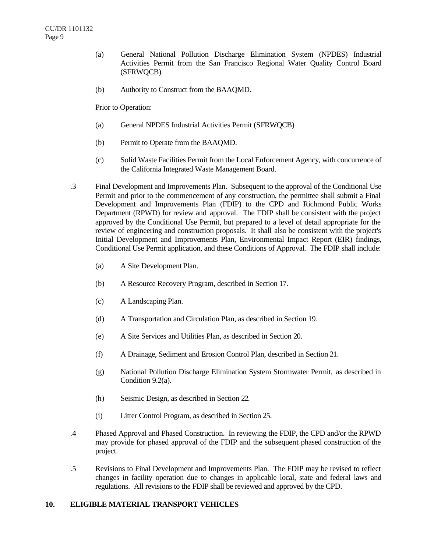- (a) General National Pollution Discharge Elimination System (NPDES) Industrial Activities Permit from the San Francisco Regional Water Quality Control Board (SFRWQCB).
- (b) Authority to Construct from the BAAQMD.

Prior to Operation:

- (a) General NPDES Industrial Activities Permit (SFRWQCB)
- (b) Permit to Operate from the BAAQMD.
- (c) Solid Waste Facilities Permit from the Local Enforcement Agency, with concurrence of the California Integrated Waste Management Board.
- .3 Final Development and Improvements Plan. Subsequent to the approval of the Conditional Use Permit and prior to the commencement of any construction, the permittee shall submit a Final Development and Improvements Plan (FDIP) to the CPD and Richmond Public Works Department (RPWD) for review and approval. The FDIP shall be consistent with the project approved by the Conditional Use Permit, but prepared to a level of detail appropriate for the review of engineering and construction proposals. It shall also be consistent with the project's Initial Development and Improvements Plan, Environmental Impact Report (EIR) findings, Conditional Use Permit application, and these Conditions of Approval. The FDIP shall include:
	- (a) A Site Development Plan.
	- (b) A Resource Recovery Program, described in Section 17.
	- (c) A Landscaping Plan.
	- (d) A Transportation and Circulation Plan, as described in Section 19.
	- (e) A Site Services and Utilities Plan, as described in Section 20.
	- (f) A Drainage, Sediment and Erosion Control Plan, described in Section 21.
	- (g) National Pollution Discharge Elimination System Stormwater Permit, as described in Condition 9.2(a).
	- (h) Seismic Design, as described in Section 22.
	- (i) Litter Control Program, as described in Section 25.
- .4 Phased Approval and Phased Construction. In reviewing the FDIP, the CPD and/or the RPWD may provide for phased approval of the FDIP and the subsequent phased construction of the project.
- .5 Revisions to Final Development and Improvements Plan. The FDIP may be revised to reflect changes in facility operation due to changes in applicable local, state and federal laws and regulations. All revisions to the FDIP shall be reviewed and approved by the CPD.

## **10. ELIGIBLE MATERIAL TRANSPORT VEHICLES**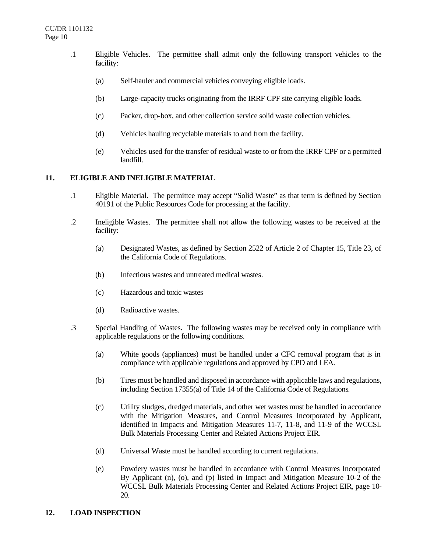- .1 Eligible Vehicles. The permittee shall admit only the following transport vehicles to the facility:
	- (a) Self-hauler and commercial vehicles conveying eligible loads.
	- (b) Large-capacity trucks originating from the IRRF CPF site carrying eligible loads.
	- (c) Packer, drop-box, and other collection service solid waste collection vehicles.
	- (d) Vehicles hauling recyclable materials to and from the facility.
	- (e) Vehicles used for the transfer of residual waste to or from the IRRF CPF or a permitted landfill.

## **11. ELIGIBLE AND INELIGIBLE MATERIAL**

- .1 Eligible Material. The permittee may accept "Solid Waste" as that term is defined by Section 40191 of the Public Resources Code for processing at the facility.
- .2 Ineligible Wastes. The permittee shall not allow the following wastes to be received at the facility:
	- (a) Designated Wastes, as defined by Section 2522 of Article 2 of Chapter 15, Title 23, of the California Code of Regulations.
	- (b) Infectious wastes and untreated medical wastes.
	- (c) Hazardous and toxic wastes
	- (d) Radioactive wastes.
- .3 Special Handling of Wastes. The following wastes may be received only in compliance with applicable regulations or the following conditions.
	- (a) White goods (appliances) must be handled under a CFC removal program that is in compliance with applicable regulations and approved by CPD and LEA.
	- (b) Tires must be handled and disposed in accordance with applicable laws and regulations, including Section 17355(a) of Title 14 of the California Code of Regulations.
	- (c) Utility sludges, dredged materials, and other wet wastes must be handled in accordance with the Mitigation Measures, and Control Measures Incorporated by Applicant, identified in Impacts and Mitigation Measures 11-7, 11-8, and 11-9 of the WCCSL Bulk Materials Processing Center and Related Actions Project EIR.
	- (d) Universal Waste must be handled according to current regulations.
	- (e) Powdery wastes must be handled in accordance with Control Measures Incorporated By Applicant (n), (o), and (p) listed in Impact and Mitigation Measure 10-2 of the WCCSL Bulk Materials Processing Center and Related Actions Project EIR, page 10- 20.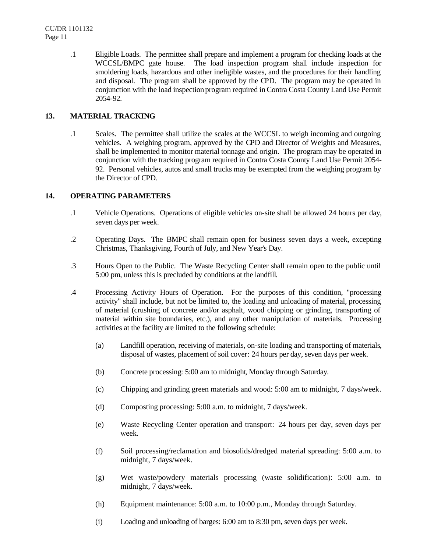.1 Eligible Loads. The permittee shall prepare and implement a program for checking loads at the WCCSL/BMPC gate house. The load inspection program shall include inspection for smoldering loads, hazardous and other ineligible wastes, and the procedures for their handling and disposal. The program shall be approved by the CPD. The program may be operated in conjunction with the load inspection program required in Contra Costa County Land Use Permit 2054-92.

# **13. MATERIAL TRACKING**

.1 Scales. The permittee shall utilize the scales at the WCCSL to weigh incoming and outgoing vehicles. A weighing program, approved by the CPD and Director of Weights and Measures, shall be implemented to monitor material tonnage and origin. The program may be operated in conjunction with the tracking program required in Contra Costa County Land Use Permit 2054- 92. Personal vehicles, autos and small trucks may be exempted from the weighing program by the Director of CPD.

## **14. OPERATING PARAMETERS**

- .1 Vehicle Operations. Operations of eligible vehicles on-site shall be allowed 24 hours per day, seven days per week.
- .2 Operating Days. The BMPC shall remain open for business seven days a week, excepting Christmas, Thanksgiving, Fourth of July, and New Year's Day.
- .3 Hours Open to the Public. The Waste Recycling Center shall remain open to the public until 5:00 pm, unless this is precluded by conditions at the landfill.
- .4 Processing Activity Hours of Operation. For the purposes of this condition, "processing activity" shall include, but not be limited to, the loading and unloading of material, processing of material (crushing of concrete and/or asphalt, wood chipping or grinding, transporting of material within site boundaries, etc.), and any other manipulation of materials. Processing activities at the facility are limited to the following schedule:
	- (a) Landfill operation, receiving of materials, on-site loading and transporting of materials, disposal of wastes, placement of soil cover: 24 hours per day, seven days per week.
	- (b) Concrete processing: 5:00 am to midnight, Monday through Saturday.
	- (c) Chipping and grinding green materials and wood: 5:00 am to midnight, 7 days/week.
	- (d) Composting processing: 5:00 a.m. to midnight, 7 days/week.
	- (e) Waste Recycling Center operation and transport: 24 hours per day, seven days per week.
	- (f) Soil processing/reclamation and biosolids/dredged material spreading: 5:00 a.m. to midnight, 7 days/week.
	- (g) Wet waste/powdery materials processing (waste solidification): 5:00 a.m. to midnight, 7 days/week.
	- (h) Equipment maintenance: 5:00 a.m. to 10:00 p.m., Monday through Saturday.
	- (i) Loading and unloading of barges: 6:00 am to 8:30 pm, seven days per week.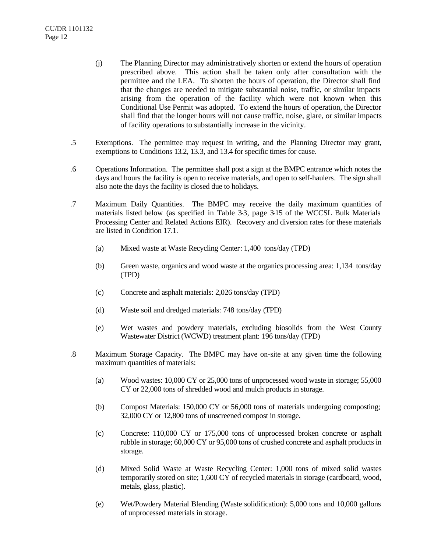- (j) The Planning Director may administratively shorten or extend the hours of operation prescribed above. This action shall be taken only after consultation with the permittee and the LEA. To shorten the hours of operation, the Director shall find that the changes are needed to mitigate substantial noise, traffic, or similar impacts arising from the operation of the facility which were not known when this Conditional Use Permit was adopted. To extend the hours of operation, the Director shall find that the longer hours will not cause traffic, noise, glare, or similar impacts of facility operations to substantially increase in the vicinity.
- .5 Exemptions. The permittee may request in writing, and the Planning Director may grant, exemptions to Conditions 13.2, 13.3, and 13.4 for specific times for cause.
- .6 Operations Information. The permittee shall post a sign at the BMPC entrance which notes the days and hours the facility is open to receive materials, and open to self-haulers. The sign shall also note the days the facility is closed due to holidays.
- .7 Maximum Daily Quantities. The BMPC may receive the daily maximum quantities of materials listed below (as specified in Table 3-3, page 3-15 of the WCCSL Bulk Materials Processing Center and Related Actions EIR). Recovery and diversion rates for these materials are listed in Condition 17.1.
	- (a) Mixed waste at Waste Recycling Center: 1,400 tons/day (TPD)
	- (b) Green waste, organics and wood waste at the organics processing area: 1,134 tons/day (TPD)
	- (c) Concrete and asphalt materials: 2,026 tons/day (TPD)
	- (d) Waste soil and dredged materials: 748 tons/day (TPD)
	- (e) Wet wastes and powdery materials, excluding biosolids from the West County Wastewater District (WCWD) treatment plant: 196 tons/day (TPD)
- .8 Maximum Storage Capacity. The BMPC may have on-site at any given time the following maximum quantities of materials:
	- (a) Wood wastes: 10,000 CY or 25,000 tons of unprocessed wood waste in storage; 55,000 CY or 22,000 tons of shredded wood and mulch products in storage.
	- (b) Compost Materials: 150,000 CY or 56,000 tons of materials undergoing composting; 32,000 CY or 12,800 tons of unscreened compost in storage.
	- (c) Concrete: 110,000 CY or 175,000 tons of unprocessed broken concrete or asphalt rubble in storage; 60,000 CY or 95,000 tons of crushed concrete and asphalt products in storage.
	- (d) Mixed Solid Waste at Waste Recycling Center: 1,000 tons of mixed solid wastes temporarily stored on site; 1,600 CY of recycled materials in storage (cardboard, wood, metals, glass, plastic).
	- (e) Wet/Powdery Material Blending (Waste solidification): 5,000 tons and 10,000 gallons of unprocessed materials in storage.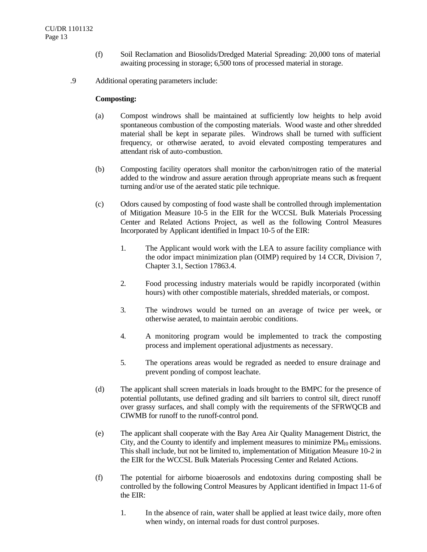- (f) Soil Reclamation and Biosolids/Dredged Material Spreading: 20,000 tons of material awaiting processing in storage; 6,500 tons of processed material in storage.
- .9 Additional operating parameters include:

#### **Composting:**

- (a) Compost windrows shall be maintained at sufficiently low heights to help avoid spontaneous combustion of the composting materials. Wood waste and other shredded material shall be kept in separate piles. Windrows shall be turned with sufficient frequency, or otherwise aerated, to avoid elevated composting temperatures and attendant risk of auto-combustion.
- (b) Composting facility operators shall monitor the carbon/nitrogen ratio of the material added to the windrow and assure aeration through appropriate means such as frequent turning and/or use of the aerated static pile technique.
- (c) Odors caused by composting of food waste shall be controlled through implementation of Mitigation Measure 10-5 in the EIR for the WCCSL Bulk Materials Processing Center and Related Actions Project, as well as the following Control Measures Incorporated by Applicant identified in Impact 10-5 of the EIR:
	- 1. The Applicant would work with the LEA to assure facility compliance with the odor impact minimization plan (OIMP) required by 14 CCR, Division 7, Chapter 3.1, Section 17863.4.
	- 2. Food processing industry materials would be rapidly incorporated (within hours) with other compostible materials, shredded materials, or compost.
	- 3. The windrows would be turned on an average of twice per week, or otherwise aerated, to maintain aerobic conditions.
	- 4. A monitoring program would be implemented to track the composting process and implement operational adjustments as necessary.
	- 5. The operations areas would be regraded as needed to ensure drainage and prevent ponding of compost leachate.
- (d) The applicant shall screen materials in loads brought to the BMPC for the presence of potential pollutants, use defined grading and silt barriers to control silt, direct runoff over grassy surfaces, and shall comply with the requirements of the SFRWQCB and CIWMB for runoff to the runoff-control pond.
- (e) The applicant shall cooperate with the Bay Area Air Quality Management District, the City, and the County to identify and implement measures to minimize  $PM_{10}$  emissions. This shall include, but not be limited to, implementation of Mitigation Measure 10-2 in the EIR for the WCCSL Bulk Materials Processing Center and Related Actions.
- (f) The potential for airborne bioaerosols and endotoxins during composting shall be controlled by the following Control Measures by Applicant identified in Impact 11-6 of the EIR:
	- 1. In the absence of rain, water shall be applied at least twice daily, more often when windy, on internal roads for dust control purposes.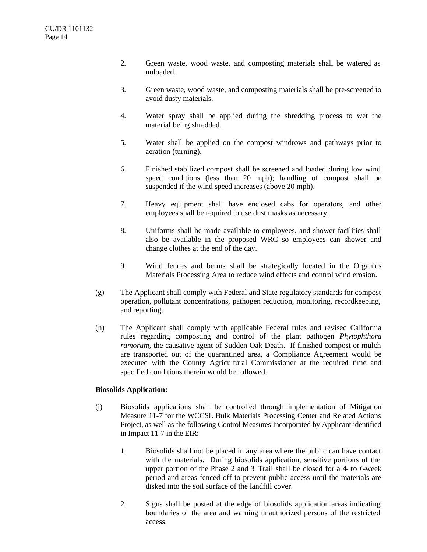- 2. Green waste, wood waste, and composting materials shall be watered as unloaded.
- 3. Green waste, wood waste, and composting materials shall be pre-screened to avoid dusty materials.
- 4. Water spray shall be applied during the shredding process to wet the material being shredded.
- 5. Water shall be applied on the compost windrows and pathways prior to aeration (turning).
- 6. Finished stabilized compost shall be screened and loaded during low wind speed conditions (less than 20 mph); handling of compost shall be suspended if the wind speed increases (above 20 mph).
- 7. Heavy equipment shall have enclosed cabs for operators, and other employees shall be required to use dust masks as necessary.
- 8. Uniforms shall be made available to employees, and shower facilities shall also be available in the proposed WRC so employees can shower and change clothes at the end of the day.
- 9. Wind fences and berms shall be strategically located in the Organics Materials Processing Area to reduce wind effects and control wind erosion.
- (g) The Applicant shall comply with Federal and State regulatory standards for compost operation, pollutant concentrations, pathogen reduction, monitoring, recordkeeping, and reporting.
- (h) The Applicant shall comply with applicable Federal rules and revised California rules regarding composting and control of the plant pathogen *Phytophthora ramorum,* the causative agent of Sudden Oak Death*.* If finished compost or mulch are transported out of the quarantined area, a Compliance Agreement would be executed with the County Agricultural Commissioner at the required time and specified conditions therein would be followed.

## **Biosolids Application:**

- (i) Biosolids applications shall be controlled through implementation of Mitigation Measure 11-7 for the WCCSL Bulk Materials Processing Center and Related Actions Project, as well as the following Control Measures Incorporated by Applicant identified in Impact 11-7 in the EIR:
	- 1. Biosolids shall not be placed in any area where the public can have contact with the materials. During biosolids application, sensitive portions of the upper portion of the Phase 2 and 3 Trail shall be closed for a 4- to 6-week period and areas fenced off to prevent public access until the materials are disked into the soil surface of the landfill cover.
	- 2. Signs shall be posted at the edge of biosolids application areas indicating boundaries of the area and warning unauthorized persons of the restricted access.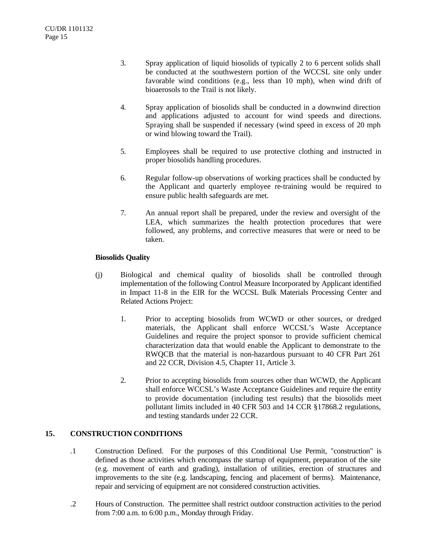- 3. Spray application of liquid biosolids of typically 2 to 6 percent solids shall be conducted at the southwestern portion of the WCCSL site only under favorable wind conditions (e.g., less than 10 mph), when wind drift of bioaerosols to the Trail is not likely.
- 4. Spray application of biosolids shall be conducted in a downwind direction and applications adjusted to account for wind speeds and directions. Spraying shall be suspended if necessary (wind speed in excess of 20 mph or wind blowing toward the Trail).
- 5. Employees shall be required to use protective clothing and instructed in proper biosolids handling procedures.
- 6. Regular follow-up observations of working practices shall be conducted by the Applicant and quarterly employee re-training would be required to ensure public health safeguards are met.
- 7. An annual report shall be prepared, under the review and oversight of the LEA, which summarizes the health protection procedures that were followed, any problems, and corrective measures that were or need to be taken.

# **Biosolids Quality**

- (j) Biological and chemical quality of biosolids shall be controlled through implementation of the following Control Measure Incorporated by Applicant identified in Impact 11-8 in the EIR for the WCCSL Bulk Materials Processing Center and Related Actions Project:
	- 1. Prior to accepting biosolids from WCWD or other sources, or dredged materials, the Applicant shall enforce WCCSL's Waste Acceptance Guidelines and require the project sponsor to provide sufficient chemical characterization data that would enable the Applicant to demonstrate to the RWQCB that the material is non-hazardous pursuant to 40 CFR Part 261 and 22 CCR, Division 4.5, Chapter 11, Article 3.
	- 2. Prior to accepting biosolids from sources other than WCWD, the Applicant shall enforce WCCSL's Waste Acceptance Guidelines and require the entity to provide documentation (including test results) that the biosolids meet pollutant limits included in 40 CFR 503 and 14 CCR §17868.2 regulations, and testing standards under 22 CCR.

# **15. CONSTRUCTION CONDITIONS**

- .1 Construction Defined. For the purposes of this Conditional Use Permit, "construction" is defined as those activities which encompass the startup of equipment, preparation of the site (e.g. movement of earth and grading), installation of utilities, erection of structures and improvements to the site (e.g. landscaping, fencing and placement of berms). Maintenance, repair and servicing of equipment are not considered construction activities.
- .2 Hours of Construction. The permittee shall restrict outdoor construction activities to the period from 7:00 a.m. to 6:00 p.m., Monday through Friday.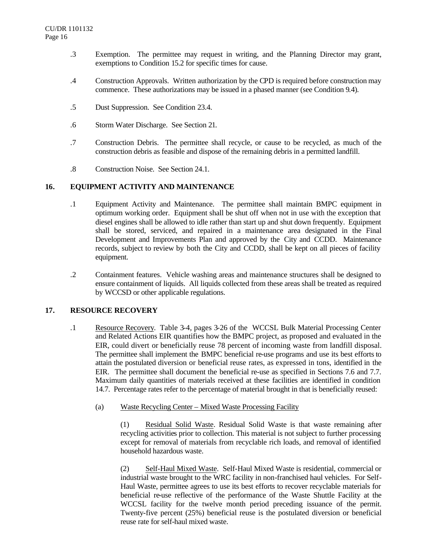- .3 Exemption. The permittee may request in writing, and the Planning Director may grant, exemptions to Condition 15.2 for specific times for cause.
- .4 Construction Approvals. Written authorization by the CPD is required before construction may commence. These authorizations may be issued in a phased manner (see Condition 9.4).
- .5 Dust Suppression. See Condition 23.4.
- .6 Storm Water Discharge. See Section 21.
- .7 Construction Debris. The permittee shall recycle, or cause to be recycled, as much of the construction debris as feasible and dispose of the remaining debris in a permitted landfill.
- .8 Construction Noise. See Section 24.1.

## **16. EQUIPMENT ACTIVITY AND MAINTENANCE**

- .1 Equipment Activity and Maintenance. The permittee shall maintain BMPC equipment in optimum working order. Equipment shall be shut off when not in use with the exception that diesel engines shall be allowed to idle rather than start up and shut down frequently. Equipment shall be stored, serviced, and repaired in a maintenance area designated in the Final Development and Improvements Plan and approved by the City and CCDD. Maintenance records, subject to review by both the City and CCDD, shall be kept on all pieces of facility equipment.
- .2 Containment features. Vehicle washing areas and maintenance structures shall be designed to ensure containment of liquids. All liquids collected from these areas shall be treated as required by WCCSD or other applicable regulations.

## **17. RESOURCE RECOVERY**

- .1 Resource Recovery. Table 3-4, pages 3-26 of the WCCSL Bulk Material Processing Center and Related Actions EIR quantifies how the BMPC project, as proposed and evaluated in the EIR, could divert or beneficially reuse 78 percent of incoming waste from landfill disposal. The permittee shall implement the BMPC beneficial re-use programs and use its best efforts to attain the postulated diversion or beneficial reuse rates, as expressed in tons, identified in the EIR. The permittee shall document the beneficial re-use as specified in Sections 7.6 and 7.7. Maximum daily quantities of materials received at these facilities are identified in condition 14.7. Percentage rates refer to the percentage of material brought in that is beneficially reused:
	- (a) Waste Recycling Center Mixed Waste Processing Facility

(1) Residual Solid Waste. Residual Solid Waste is that waste remaining after recycling activities prior to collection. This material is not subject to further processing except for removal of materials from recyclable rich loads, and removal of identified household hazardous waste.

(2) Self-Haul Mixed Waste. Self-Haul Mixed Waste is residential, commercial or industrial waste brought to the WRC facility in non-franchised haul vehicles. For Self-Haul Waste, permittee agrees to use its best efforts to recover recyclable materials for beneficial re-use reflective of the performance of the Waste Shuttle Facility at the WCCSL facility for the twelve month period preceding issuance of the permit. Twenty-five percent (25%) beneficial reuse is the postulated diversion or beneficial reuse rate for self-haul mixed waste.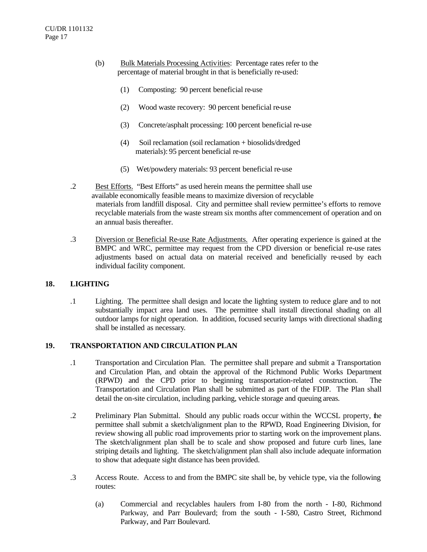- (b) Bulk Materials Processing Activities: Percentage rates refer to the percentage of material brought in that is beneficially re-used:
	- (1) Composting: 90 percent beneficial re-use
	- (2) Wood waste recovery: 90 percent beneficial re-use
	- (3) Concrete/asphalt processing: 100 percent beneficial re-use
	- (4) Soil reclamation (soil reclamation + biosolids/dredged materials): 95 percent beneficial re-use
	- (5) Wet/powdery materials: 93 percent beneficial re-use
- .2 Best Efforts. "Best Efforts" as used herein means the permittee shall use available economically feasible means to maximize diversion of recyclable materials from landfill disposal. City and permittee shall review permittee's efforts to remove recyclable materials from the waste stream six months after commencement of operation and on an annual basis thereafter.
- .3 Diversion or Beneficial Re-use Rate Adjustments. After operating experience is gained at the BMPC and WRC, permittee may request from the CPD diversion or beneficial re-use rates adjustments based on actual data on material received and beneficially re-used by each individual facility component.

## **18. LIGHTING**

.1 Lighting. The permittee shall design and locate the lighting system to reduce glare and to not substantially impact area land uses. The permittee shall install directional shading on all outdoor lamps for night operation. In addition, focused security lamps with directional shading shall be installed as necessary.

## **19. TRANSPORTATION AND CIRCULATION PLAN**

- .1 Transportation and Circulation Plan. The permittee shall prepare and submit a Transportation and Circulation Plan, and obtain the approval of the Richmond Public Works Department (RPWD) and the CPD prior to beginning transportation-related construction. The Transportation and Circulation Plan shall be submitted as part of the FDIP. The Plan shall detail the on-site circulation, including parking, vehicle storage and queuing areas.
- .2 Preliminary Plan Submittal. Should any public roads occur within the WCCSL property, the permittee shall submit a sketch/alignment plan to the RPWD, Road Engineering Division, for review showing all public road improvements prior to starting work on the improvement plans. The sketch/alignment plan shall be to scale and show proposed and future curb lines, lane striping details and lighting. The sketch/alignment plan shall also include adequate information to show that adequate sight distance has been provided.
- .3 Access Route. Access to and from the BMPC site shall be, by vehicle type, via the following routes:
	- (a) Commercial and recyclables haulers from I-80 from the north I-80, Richmond Parkway, and Parr Boulevard; from the south - I-580, Castro Street, Richmond Parkway, and Parr Boulevard.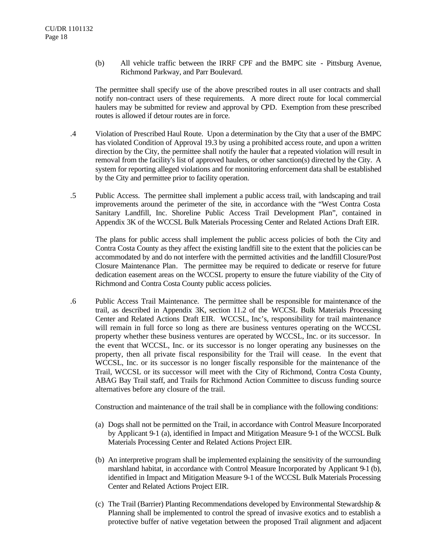(b) All vehicle traffic between the IRRF CPF and the BMPC site - Pittsburg Avenue, Richmond Parkway, and Parr Boulevard.

The permittee shall specify use of the above prescribed routes in all user contracts and shall notify non-contract users of these requirements. A more direct route for local commercial haulers may be submitted for review and approval by CPD. Exemption from these prescribed routes is allowed if detour routes are in force.

- .4 Violation of Prescribed Haul Route. Upon a determination by the City that a user of the BMPC has violated Condition of Approval 19.3 by using a prohibited access route, and upon a written direction by the City, the permittee shall notify the hauler that a repeated violation will result in removal from the facility's list of approved haulers, or other sanction(s) directed by the City. A system for reporting alleged violations and for monitoring enforcement data shall be established by the City and permittee prior to facility operation.
- .5 Public Access. The permittee shall implement a public access trail, with landscaping and trail improvements around the perimeter of the site, in accordance with the "West Contra Costa Sanitary Landfill, Inc. Shoreline Public Access Trail Development Plan", contained in Appendix 3K of the WCCSL Bulk Materials Processing Center and Related Actions Draft EIR.

The plans for public access shall implement the public access policies of both the City and Contra Costa County as they affect the existing landfill site to the extent that the policies can be accommodated by and do not interfere with the permitted activities and the landfill Closure/Post Closure Maintenance Plan. The permittee may be required to dedicate or reserve for future dedication easement areas on the WCCSL property to ensure the future viability of the City of Richmond and Contra Costa County public access policies.

.6 Public Access Trail Maintenance. The permittee shall be responsible for maintenance of the trail, as described in Appendix 3K, section 11.2 of the WCCSL Bulk Materials Processing Center and Related Actions Draft EIR. WCCSL, Inc's, responsibility for trail maintenance will remain in full force so long as there are business ventures operating on the WCCSL property whether these business ventures are operated by WCCSL, Inc. or its successor. In the event that WCCSL, Inc. or its successor is no longer operating any businesses on the property, then all private fiscal responsibility for the Trail will cease. In the event that WCCSL, Inc. or its successor is no longer fiscally responsible for the maintenance of the Trail, WCCSL or its successor will meet with the City of Richmond, Contra Costa County, ABAG Bay Trail staff, and Trails for Richmond Action Committee to discuss funding source alternatives before any closure of the trail.

Construction and maintenance of the trail shall be in compliance with the following conditions:

- (a) Dogs shall not be permitted on the Trail, in accordance with Control Measure Incorporated by Applicant 9-1 (a), identified in Impact and Mitigation Measure 9-1 of the WCCSL Bulk Materials Processing Center and Related Actions Project EIR.
- (b) An interpretive program shall be implemented explaining the sensitivity of the surrounding marshland habitat, in accordance with Control Measure Incorporated by Applicant 9-1 (b), identified in Impact and Mitigation Measure 9-1 of the WCCSL Bulk Materials Processing Center and Related Actions Project EIR.
- (c) The Trail (Barrier) Planting Recommendations developed by Environmental Stewardship  $\&$ Planning shall be implemented to control the spread of invasive exotics and to establish a protective buffer of native vegetation between the proposed Trail alignment and adjacent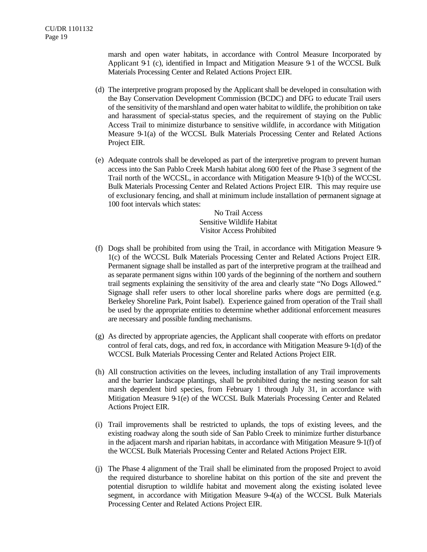marsh and open water habitats, in accordance with Control Measure Incorporated by Applicant  $91$  (c), identified in Impact and Mitigation Measure  $91$  of the WCCSL Bulk Materials Processing Center and Related Actions Project EIR.

- (d) The interpretive program proposed by the Applicant shall be developed in consultation with the Bay Conservation Development Commission (BCDC) and DFG to educate Trail users of the sensitivity of the marshland and open water habitat to wildlife, the prohibition on take and harassment of special-status species, and the requirement of staying on the Public Access Trail to minimize disturbance to sensitive wildlife, in accordance with Mitigation Measure 9-1(a) of the WCCSL Bulk Materials Processing Center and Related Actions Project EIR.
- (e) Adequate controls shall be developed as part of the interpretive program to prevent human access into the San Pablo Creek Marsh habitat along 600 feet of the Phase 3 segment of the Trail north of the WCCSL, in accordance with Mitigation Measure 9-1(b) of the WCCSL Bulk Materials Processing Center and Related Actions Project EIR. This may require use of exclusionary fencing, and shall at minimum include installation of permanent signage at 100 foot intervals which states:

No Trail Access Sensitive Wildlife Habitat Visitor Access Prohibited

- (f) Dogs shall be prohibited from using the Trail, in accordance with Mitigation Measure 9- 1(c) of the WCCSL Bulk Materials Processing Center and Related Actions Project EIR. Permanent signage shall be installed as part of the interpretive program at the trailhead and as separate permanent signs within 100 yards of the beginning of the northern and southern trail segments explaining the sensitivity of the area and clearly state "No Dogs Allowed." Signage shall refer users to other local shoreline parks where dogs are permitted (e.g. Berkeley Shoreline Park, Point Isabel). Experience gained from operation of the Trail shall be used by the appropriate entities to determine whether additional enforcement measures are necessary and possible funding mechanisms.
- (g) As directed by appropriate agencies, the Applicant shall cooperate with efforts on predator control of feral cats, dogs, and red fox, in accordance with Mitigation Measure 9-1(d) of the WCCSL Bulk Materials Processing Center and Related Actions Project EIR.
- (h) All construction activities on the levees, including installation of any Trail improvements and the barrier landscape plantings, shall be prohibited during the nesting season for salt marsh dependent bird species, from February 1 through July 31, in accordance with Mitigation Measure 9-1(e) of the WCCSL Bulk Materials Processing Center and Related Actions Project EIR.
- (i) Trail improvements shall be restricted to uplands, the tops of existing levees, and the existing roadway along the south side of San Pablo Creek to minimize further disturbance in the adjacent marsh and riparian habitats, in accordance with Mitigation Measure 9-1(f) of the WCCSL Bulk Materials Processing Center and Related Actions Project EIR.
- (j) The Phase 4 alignment of the Trail shall be eliminated from the proposed Project to avoid the required disturbance to shoreline habitat on this portion of the site and prevent the potential disruption to wildlife habitat and movement along the existing isolated levee segment, in accordance with Mitigation Measure 9-4(a) of the WCCSL Bulk Materials Processing Center and Related Actions Project EIR.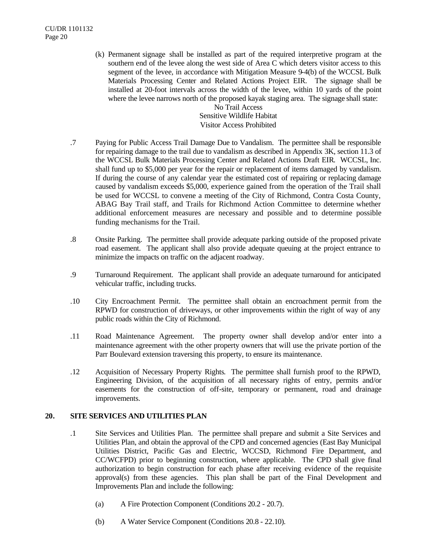(k) Permanent signage shall be installed as part of the required interpretive program at the southern end of the levee along the west side of Area C which deters visitor access to this segment of the levee, in accordance with Mitigation Measure 9-4(b) of the WCCSL Bulk Materials Processing Center and Related Actions Project EIR. The signage shall be installed at 20-foot intervals across the width of the levee, within 10 yards of the point where the levee narrows north of the proposed kayak staging area. The signage shall state:

No Trail Access Sensitive Wildlife Habitat Visitor Access Prohibited

- .7 Paying for Public Access Trail Damage Due to Vandalism. The permittee shall be responsible for repairing damage to the trail due to vandalism as described in Appendix 3K, section 11.3 of the WCCSL Bulk Materials Processing Center and Related Actions Draft EIR. WCCSL, Inc. shall fund up to \$5,000 per year for the repair or replacement of items damaged by vandalism. If during the course of any calendar year the estimated cost of repairing or replacing damage caused by vandalism exceeds \$5,000, experience gained from the operation of the Trail shall be used for WCCSL to convene a meeting of the City of Richmond, Contra Costa County, ABAG Bay Trail staff, and Trails for Richmond Action Committee to determine whether additional enforcement measures are necessary and possible and to determine possible funding mechanisms for the Trail.
- .8 Onsite Parking. The permittee shall provide adequate parking outside of the proposed private road easement. The applicant shall also provide adequate queuing at the project entrance to minimize the impacts on traffic on the adjacent roadway.
- .9 Turnaround Requirement. The applicant shall provide an adequate turnaround for anticipated vehicular traffic, including trucks.
- .10 City Encroachment Permit. The permittee shall obtain an encroachment permit from the RPWD for construction of driveways, or other improvements within the right of way of any public roads within the City of Richmond.
- .11 Road Maintenance Agreement. The property owner shall develop and/or enter into a maintenance agreement with the other property owners that will use the private portion of the Parr Boulevard extension traversing this property, to ensure its maintenance.
- .12 Acquisition of Necessary Property Rights. The permittee shall furnish proof to the RPWD, Engineering Division, of the acquisition of all necessary rights of entry, permits and/or easements for the construction of off-site, temporary or permanent, road and drainage improvements.

# **20. SITE SERVICES AND UTILITIES PLAN**

- .1 Site Services and Utilities Plan. The permittee shall prepare and submit a Site Services and Utilities Plan, and obtain the approval of the CPD and concerned agencies (East Bay Municipal Utilities District, Pacific Gas and Electric, WCCSD, Richmond Fire Department, and CC/WCFPD) prior to beginning construction, where applicable. The CPD shall give final authorization to begin construction for each phase after receiving evidence of the requisite approval(s) from these agencies. This plan shall be part of the Final Development and Improvements Plan and include the following:
	- (a) A Fire Protection Component (Conditions 20.2 20.7).
	- (b) A Water Service Component (Conditions 20.8 22.10).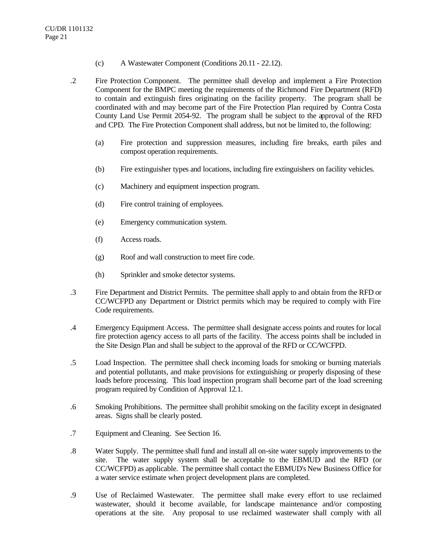- (c) A Wastewater Component (Conditions 20.11 22.12).
- .2 Fire Protection Component. The permittee shall develop and implement a Fire Protection Component for the BMPC meeting the requirements of the Richmond Fire Department (RFD) to contain and extinguish fires originating on the facility property. The program shall be coordinated with and may become part of the Fire Protection Plan required by Contra Costa County Land Use Permit 2054-92. The program shall be subject to the approval of the RFD and CPD. The Fire Protection Component shall address, but not be limited to, the following:
	- (a) Fire protection and suppression measures, including fire breaks, earth piles and compost operation requirements.
	- (b) Fire extinguisher types and locations, including fire extinguishers on facility vehicles.
	- (c) Machinery and equipment inspection program.
	- (d) Fire control training of employees.
	- (e) Emergency communication system.
	- (f) Access roads.
	- (g) Roof and wall construction to meet fire code.
	- (h) Sprinkler and smoke detector systems.
- .3 Fire Department and District Permits. The permittee shall apply to and obtain from the RFD or CC/WCFPD any Department or District permits which may be required to comply with Fire Code requirements.
- .4 Emergency Equipment Access. The permittee shall designate access points and routes for local fire protection agency access to all parts of the facility. The access points shall be included in the Site Design Plan and shall be subject to the approval of the RFD or CC/WCFPD.
- .5 Load Inspection. The permittee shall check incoming loads for smoking or burning materials and potential pollutants, and make provisions for extinguishing or properly disposing of these loads before processing. This load inspection program shall become part of the load screening program required by Condition of Approval 12.1.
- .6 Smoking Prohibitions. The permittee shall prohibit smoking on the facility except in designated areas. Signs shall be clearly posted.
- .7 Equipment and Cleaning. See Section 16.
- .8 Water Supply. The permittee shall fund and install all on-site water supply improvements to the site. The water supply system shall be acceptable to the EBMUD and the RFD (or CC/WCFPD) as applicable. The permittee shall contact the EBMUD's New Business Office for a water service estimate when project development plans are completed.
- .9 Use of Reclaimed Wastewater. The permittee shall make every effort to use reclaimed wastewater, should it become available, for landscape maintenance and/or composting operations at the site. Any proposal to use reclaimed wastewater shall comply with all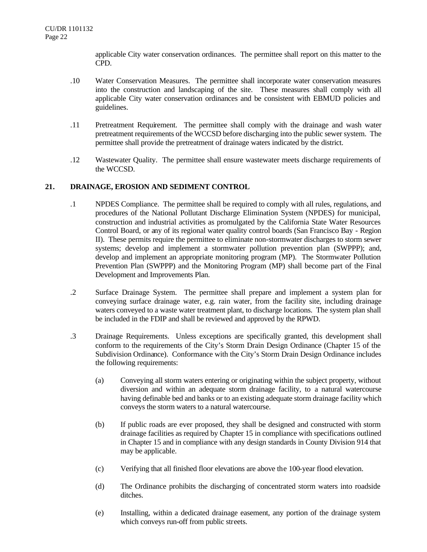applicable City water conservation ordinances. The permittee shall report on this matter to the CPD.

- .10 Water Conservation Measures. The permittee shall incorporate water conservation measures into the construction and landscaping of the site. These measures shall comply with all applicable City water conservation ordinances and be consistent with EBMUD policies and guidelines.
- .11 Pretreatment Requirement. The permittee shall comply with the drainage and wash water pretreatment requirements of the WCCSD before discharging into the public sewer system. The permittee shall provide the pretreatment of drainage waters indicated by the district.
- .12 Wastewater Quality. The permittee shall ensure wastewater meets discharge requirements of the WCCSD.

## **21. DRAINAGE, EROSION AND SEDIMENT CONTROL**

- .1 NPDES Compliance. The permittee shall be required to comply with all rules, regulations, and procedures of the National Pollutant Discharge Elimination System (NPDES) for municipal, construction and industrial activities as promulgated by the California State Water Resources Control Board, or any of its regional water quality control boards (San Francisco Bay - Region II). These permits require the permittee to eliminate non-stormwater discharges to storm sewer systems; develop and implement a stormwater pollution prevention plan (SWPPP); and, develop and implement an appropriate monitoring program (MP). The Stormwater Pollution Prevention Plan (SWPPP) and the Monitoring Program (MP) shall become part of the Final Development and Improvements Plan.
- .2 Surface Drainage System. The permittee shall prepare and implement a system plan for conveying surface drainage water, e.g. rain water, from the facility site, including drainage waters conveyed to a waste water treatment plant, to discharge locations. The system plan shall be included in the FDIP and shall be reviewed and approved by the RPWD.
- .3 Drainage Requirements. Unless exceptions are specifically granted, this development shall conform to the requirements of the City's Storm Drain Design Ordinance (Chapter 15 of the Subdivision Ordinance). Conformance with the City's Storm Drain Design Ordinance includes the following requirements:
	- (a) Conveying all storm waters entering or originating within the subject property, without diversion and within an adequate storm drainage facility, to a natural watercourse having definable bed and banks or to an existing adequate storm drainage facility which conveys the storm waters to a natural watercourse.
	- (b) If public roads are ever proposed, they shall be designed and constructed with storm drainage facilities as required by Chapter 15 in compliance with specifications outlined in Chapter 15 and in compliance with any design standards in County Division 914 that may be applicable.
	- (c) Verifying that all finished floor elevations are above the 100-year flood elevation.
	- (d) The Ordinance prohibits the discharging of concentrated storm waters into roadside ditches.
	- (e) Installing, within a dedicated drainage easement, any portion of the drainage system which conveys run-off from public streets.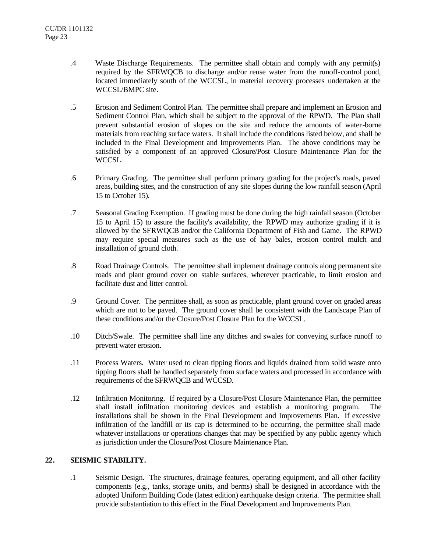- .4 Waste Discharge Requirements. The permittee shall obtain and comply with any permit(s) required by the SFRWQCB to discharge and/or reuse water from the runoff-control pond, located immediately south of the WCCSL, in material recovery processes undertaken at the WCCSL/BMPC site.
- .5 Erosion and Sediment Control Plan. The permittee shall prepare and implement an Erosion and Sediment Control Plan, which shall be subject to the approval of the RPWD. The Plan shall prevent substantial erosion of slopes on the site and reduce the amounts of water-borne materials from reaching surface waters. It shall include the conditions listed below, and shall be included in the Final Development and Improvements Plan. The above conditions may be satisfied by a component of an approved Closure/Post Closure Maintenance Plan for the WCCSL.
- .6 Primary Grading. The permittee shall perform primary grading for the project's roads, paved areas, building sites, and the construction of any site slopes during the low rainfall season (April 15 to October 15).
- .7 Seasonal Grading Exemption. If grading must be done during the high rainfall season (October 15 to April 15) to assure the facility's availability, the RPWD may authorize grading if it is allowed by the SFRWQCB and/or the California Department of Fish and Game. The RPWD may require special measures such as the use of hay bales, erosion control mulch and installation of ground cloth.
- .8 Road Drainage Controls. The permittee shall implement drainage controls along permanent site roads and plant ground cover on stable surfaces, wherever practicable, to limit erosion and facilitate dust and litter control.
- .9 Ground Cover. The permittee shall, as soon as practicable, plant ground cover on graded areas which are not to be paved. The ground cover shall be consistent with the Landscape Plan of these conditions and/or the Closure/Post Closure Plan for the WCCSL.
- .10 Ditch/Swale. The permittee shall line any ditches and swales for conveying surface runoff to prevent water erosion.
- .11 Process Waters. Water used to clean tipping floors and liquids drained from solid waste onto tipping floors shall be handled separately from surface waters and processed in accordance with requirements of the SFRWQCB and WCCSD.
- .12 Infiltration Monitoring. If required by a Closure/Post Closure Maintenance Plan, the permittee shall install infiltration monitoring devices and establish a monitoring program. installations shall be shown in the Final Development and Improvements Plan. If excessive infiltration of the landfill or its cap is determined to be occurring, the permittee shall made whatever installations or operations changes that may be specified by any public agency which as jurisdiction under the Closure/Post Closure Maintenance Plan.

# **22. SEISMIC STABILITY.**

.1 Seismic Design. The structures, drainage features, operating equipment, and all other facility components (e.g., tanks, storage units, and berms) shall be designed in accordance with the adopted Uniform Building Code (latest edition) earthquake design criteria. The permittee shall provide substantiation to this effect in the Final Development and Improvements Plan.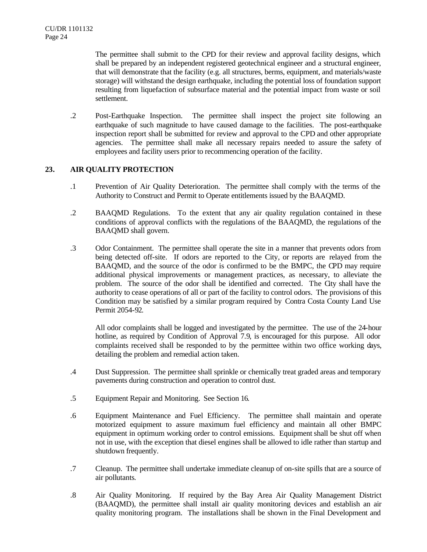The permittee shall submit to the CPD for their review and approval facility designs, which shall be prepared by an independent registered geotechnical engineer and a structural engineer, that will demonstrate that the facility (e.g. all structures, berms, equipment, and materials/waste storage) will withstand the design earthquake, including the potential loss of foundation support resulting from liquefaction of subsurface material and the potential impact from waste or soil settlement.

.2 Post-Earthquake Inspection. The permittee shall inspect the project site following an earthquake of such magnitude to have caused damage to the facilities. The post-earthquake inspection report shall be submitted for review and approval to the CPD and other appropriate agencies. The permittee shall make all necessary repairs needed to assure the safety of employees and facility users prior to recommencing operation of the facility.

## **23. AIR QUALITY PROTECTION**

- .1 Prevention of Air Quality Deterioration. The permittee shall comply with the terms of the Authority to Construct and Permit to Operate entitlements issued by the BAAQMD.
- .2 BAAQMD Regulations. To the extent that any air quality regulation contained in these conditions of approval conflicts with the regulations of the BAAQMD, the regulations of the BAAQMD shall govern.
- .3 Odor Containment. The permittee shall operate the site in a manner that prevents odors from being detected off-site. If odors are reported to the City, or reports are relayed from the BAAQMD, and the source of the odor is confirmed to be the BMPC, the CPD may require additional physical improvements or management practices, as necessary, to alleviate the problem. The source of the odor shall be identified and corrected. The City shall have the authority to cease operations of all or part of the facility to control odors. The provisions of this Condition may be satisfied by a similar program required by Contra Costa County Land Use Permit 2054-92.

All odor complaints shall be logged and investigated by the permittee. The use of the 24-hour hotline, as required by Condition of Approval 7.9, is encouraged for this purpose. All odor complaints received shall be responded to by the permittee within two office working days, detailing the problem and remedial action taken.

- .4 Dust Suppression. The permittee shall sprinkle or chemically treat graded areas and temporary pavements during construction and operation to control dust.
- .5 Equipment Repair and Monitoring. See Section 16.
- .6 Equipment Maintenance and Fuel Efficiency. The permittee shall maintain and operate motorized equipment to assure maximum fuel efficiency and maintain all other BMPC equipment in optimum working order to control emissions. Equipment shall be shut off when not in use, with the exception that diesel engines shall be allowed to idle rather than startup and shutdown frequently.
- .7 Cleanup. The permittee shall undertake immediate cleanup of on-site spills that are a source of air pollutants.
- .8 Air Quality Monitoring. If required by the Bay Area Air Quality Management District (BAAQMD), the permittee shall install air quality monitoring devices and establish an air quality monitoring program. The installations shall be shown in the Final Development and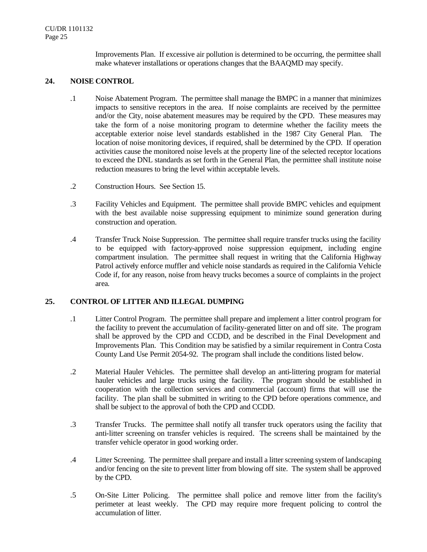Improvements Plan. If excessive air pollution is determined to be occurring, the permittee shall make whatever installations or operations changes that the BAAQMD may specify.

# **24. NOISE CONTROL**

- .1 Noise Abatement Program. The permittee shall manage the BMPC in a manner that minimizes impacts to sensitive receptors in the area. If noise complaints are received by the permittee and/or the City, noise abatement measures may be required by the CPD. These measures may take the form of a noise monitoring program to determine whether the facility meets the acceptable exterior noise level standards established in the 1987 City General Plan. The location of noise monitoring devices, if required, shall be determined by the CPD. If operation activities cause the monitored noise levels at the property line of the selected receptor locations to exceed the DNL standards as set forth in the General Plan, the permittee shall institute noise reduction measures to bring the level within acceptable levels.
- .2 Construction Hours. See Section 15.
- .3 Facility Vehicles and Equipment. The permittee shall provide BMPC vehicles and equipment with the best available noise suppressing equipment to minimize sound generation during construction and operation.
- .4 Transfer Truck Noise Suppression. The permittee shall require transfer trucks using the facility to be equipped with factory-approved noise suppression equipment, including engine compartment insulation. The permittee shall request in writing that the California Highway Patrol actively enforce muffler and vehicle noise standards as required in the California Vehicle Code if, for any reason, noise from heavy trucks becomes a source of complaints in the project area.

## **25. CONTROL OF LITTER AND ILLEGAL DUMPING**

- .1 Litter Control Program. The permittee shall prepare and implement a litter control program for the facility to prevent the accumulation of facility-generated litter on and off site. The program shall be approved by the CPD and CCDD, and be described in the Final Development and Improvements Plan. This Condition may be satisfied by a similar requirement in Contra Costa County Land Use Permit 2054-92. The program shall include the conditions listed below.
- .2 Material Hauler Vehicles. The permittee shall develop an anti-littering program for material hauler vehicles and large trucks using the facility. The program should be established in cooperation with the collection services and commercial (account) firms that will use the facility. The plan shall be submitted in writing to the CPD before operations commence, and shall be subject to the approval of both the CPD and CCDD.
- .3 Transfer Trucks. The permittee shall notify all transfer truck operators using the facility that anti-litter screening on transfer vehicles is required. The screens shall be maintained by the transfer vehicle operator in good working order.
- .4 Litter Screening. The permittee shall prepare and install a litter screening system of landscaping and/or fencing on the site to prevent litter from blowing off site. The system shall be approved by the CPD.
- .5 On-Site Litter Policing. The permittee shall police and remove litter from the facility's perimeter at least weekly. The CPD may require more frequent policing to control the accumulation of litter.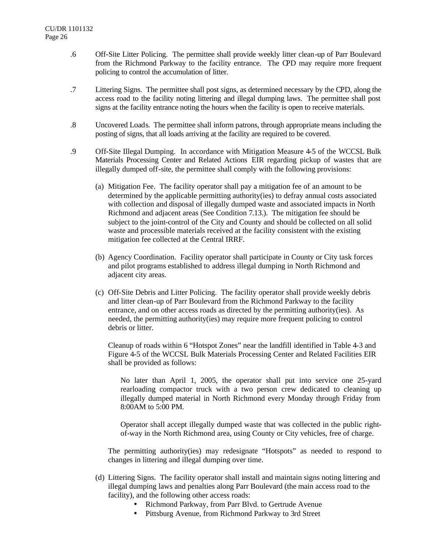- .6 Off-Site Litter Policing. The permittee shall provide weekly litter clean-up of Parr Boulevard from the Richmond Parkway to the facility entrance. The CPD may require more frequent policing to control the accumulation of litter.
- .7 Littering Signs. The permittee shall post signs, as determined necessary by the CPD, along the access road to the facility noting littering and illegal dumping laws. The permittee shall post signs at the facility entrance noting the hours when the facility is open to receive materials.
- .8 Uncovered Loads. The permittee shall inform patrons, through appropriate means including the posting of signs, that all loads arriving at the facility are required to be covered.
- .9 Off-Site Illegal Dumping. In accordance with Mitigation Measure 4-5 of the WCCSL Bulk Materials Processing Center and Related Actions EIR regarding pickup of wastes that are illegally dumped off-site, the permittee shall comply with the following provisions:
	- (a) Mitigation Fee. The facility operator shall pay a mitigation fee of an amount to be determined by the applicable permitting authority(ies) to defray annual costs associated with collection and disposal of illegally dumped waste and associated impacts in North Richmond and adjacent areas (See Condition 7.13.). The mitigation fee should be subject to the joint-control of the City and County and should be collected on all solid waste and processible materials received at the facility consistent with the existing mitigation fee collected at the Central IRRF.
	- (b) Agency Coordination. Facility operator shall participate in County or City task forces and pilot programs established to address illegal dumping in North Richmond and adjacent city areas.
	- (c) Off-Site Debris and Litter Policing. The facility operator shall provide weekly debris and litter clean-up of Parr Boulevard from the Richmond Parkway to the facility entrance, and on other access roads as directed by the permitting authority(ies). As needed, the permitting authority(ies) may require more frequent policing to control debris or litter.

Cleanup of roads within 6 "Hotspot Zones" near the landfill identified in Table 4-3 and Figure 4-5 of the WCCSL Bulk Materials Processing Center and Related Facilities EIR shall be provided as follows:

No later than April 1, 2005, the operator shall put into service one 25-yard rearloading compactor truck with a two person crew dedicated to cleaning up illegally dumped material in North Richmond every Monday through Friday from 8:00AM to 5:00 PM.

Operator shall accept illegally dumped waste that was collected in the public rightof-way in the North Richmond area, using County or City vehicles, free of charge.

The permitting authority(ies) may redesignate "Hotspots" as needed to respond to changes in littering and illegal dumping over time.

- (d) Littering Signs. The facility operator shall install and maintain signs noting littering and illegal dumping laws and penalties along Parr Boulevard (the main access road to the facility), and the following other access roads:
	- Richmond Parkway, from Parr Blvd. to Gertrude Avenue
	- Pittsburg Avenue, from Richmond Parkway to 3rd Street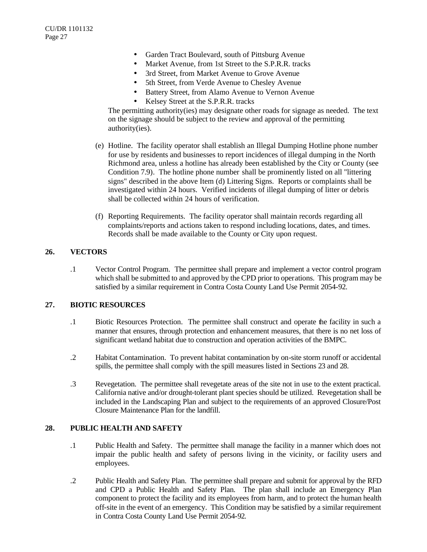- Garden Tract Boulevard, south of Pittsburg Avenue
- Market Avenue, from 1st Street to the S.P.R.R. tracks
- 3rd Street, from Market Avenue to Grove Avenue
- 5th Street, from Verde Avenue to Chesley Avenue
- Battery Street, from Alamo Avenue to Vernon Avenue
- Kelsey Street at the S.P.R.R. tracks

The permitting authority(ies) may designate other roads for signage as needed. The text on the signage should be subject to the review and approval of the permitting authority(ies).

- (e) Hotline. The facility operator shall establish an Illegal Dumping Hotline phone number for use by residents and businesses to report incidences of illegal dumping in the North Richmond area, unless a hotline has already been established by the City or County (see Condition 7.9). The hotline phone number shall be prominently listed on all "littering signs" described in the above Item (d) Littering Signs. Reports or complaints shall be investigated within 24 hours. Verified incidents of illegal dumping of litter or debris shall be collected within 24 hours of verification.
- (f) Reporting Requirements. The facility operator shall maintain records regarding all complaints/reports and actions taken to respond including locations, dates, and times. Records shall be made available to the County or City upon request.

## **26. VECTORS**

.1 Vector Control Program. The permittee shall prepare and implement a vector control program which shall be submitted to and approved by the CPD prior to operations. This program may be satisfied by a similar requirement in Contra Costa County Land Use Permit 2054-92.

## **27. BIOTIC RESOURCES**

- .1 Biotic Resources Protection. The permittee shall construct and operate the facility in such a manner that ensures, through protection and enhancement measures, that there is no net loss of significant wetland habitat due to construction and operation activities of the BMPC.
- .2 Habitat Contamination. To prevent habitat contamination by on-site storm runoff or accidental spills, the permittee shall comply with the spill measures listed in Sections 23 and 28.
- .3 Revegetation. The permittee shall revegetate areas of the site not in use to the extent practical. California native and/or drought-tolerant plant species should be utilized. Revegetation shall be included in the Landscaping Plan and subject to the requirements of an approved Closure/Post Closure Maintenance Plan for the landfill.

## **28. PUBLIC HEALTH AND SAFETY**

- .1 Public Health and Safety. The permittee shall manage the facility in a manner which does not impair the public health and safety of persons living in the vicinity, or facility users and employees.
- .2 Public Health and Safety Plan. The permittee shall prepare and submit for approval by the RFD and CPD a Public Health and Safety Plan. The plan shall include an Emergency Plan component to protect the facility and its employees from harm, and to protect the human health off-site in the event of an emergency. This Condition may be satisfied by a similar requirement in Contra Costa County Land Use Permit 2054-92.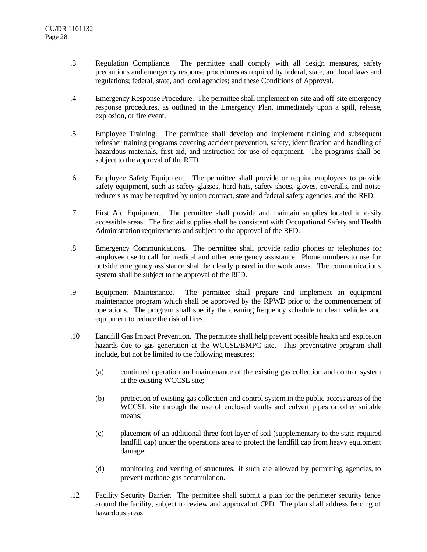- .3 Regulation Compliance. The permittee shall comply with all design measures, safety precautions and emergency response procedures as required by federal, state, and local laws and regulations; federal, state, and local agencies; and these Conditions of Approval.
- .4 Emergency Response Procedure. The permittee shall implement on-site and off-site emergency response procedures, as outlined in the Emergency Plan, immediately upon a spill, release, explosion, or fire event.
- .5 Employee Training. The permittee shall develop and implement training and subsequent refresher training programs covering accident prevention, safety, identification and handling of hazardous materials, first aid, and instruction for use of equipment. The programs shall be subject to the approval of the RFD.
- .6 Employee Safety Equipment. The permittee shall provide or require employees to provide safety equipment, such as safety glasses, hard hats, safety shoes, gloves, coveralls, and noise reducers as may be required by union contract, state and federal safety agencies, and the RFD.
- .7 First Aid Equipment. The permittee shall provide and maintain supplies located in easily accessible areas. The first aid supplies shall be consistent with Occupational Safety and Health Administration requirements and subject to the approval of the RFD.
- .8 Emergency Communications. The permittee shall provide radio phones or telephones for employee use to call for medical and other emergency assistance. Phone numbers to use for outside emergency assistance shall be clearly posted in the work areas. The communications system shall be subject to the approval of the RFD.
- .9 Equipment Maintenance. The permittee shall prepare and implement an equipment maintenance program which shall be approved by the RPWD prior to the commencement of operations. The program shall specify the cleaning frequency schedule to clean vehicles and equipment to reduce the risk of fires.
- .10 Landfill Gas Impact Prevention. The permittee shall help prevent possible health and explosion hazards due to gas generation at the WCCSL/BMPC site. This preventative program shall include, but not be limited to the following measures:
	- (a) continued operation and maintenance of the existing gas collection and control system at the existing WCCSL site;
	- (b) protection of existing gas collection and control system in the public access areas of the WCCSL site through the use of enclosed vaults and culvert pipes or other suitable means;
	- (c) placement of an additional three-foot layer of soil (supplementary to the state-required landfill cap) under the operations area to protect the landfill cap from heavy equipment damage;
	- (d) monitoring and venting of structures, if such are allowed by permitting agencies, to prevent methane gas accumulation.
- .12 Facility Security Barrier. The permittee shall submit a plan for the perimeter security fence around the facility, subject to review and approval of CPD. The plan shall address fencing of hazardous areas